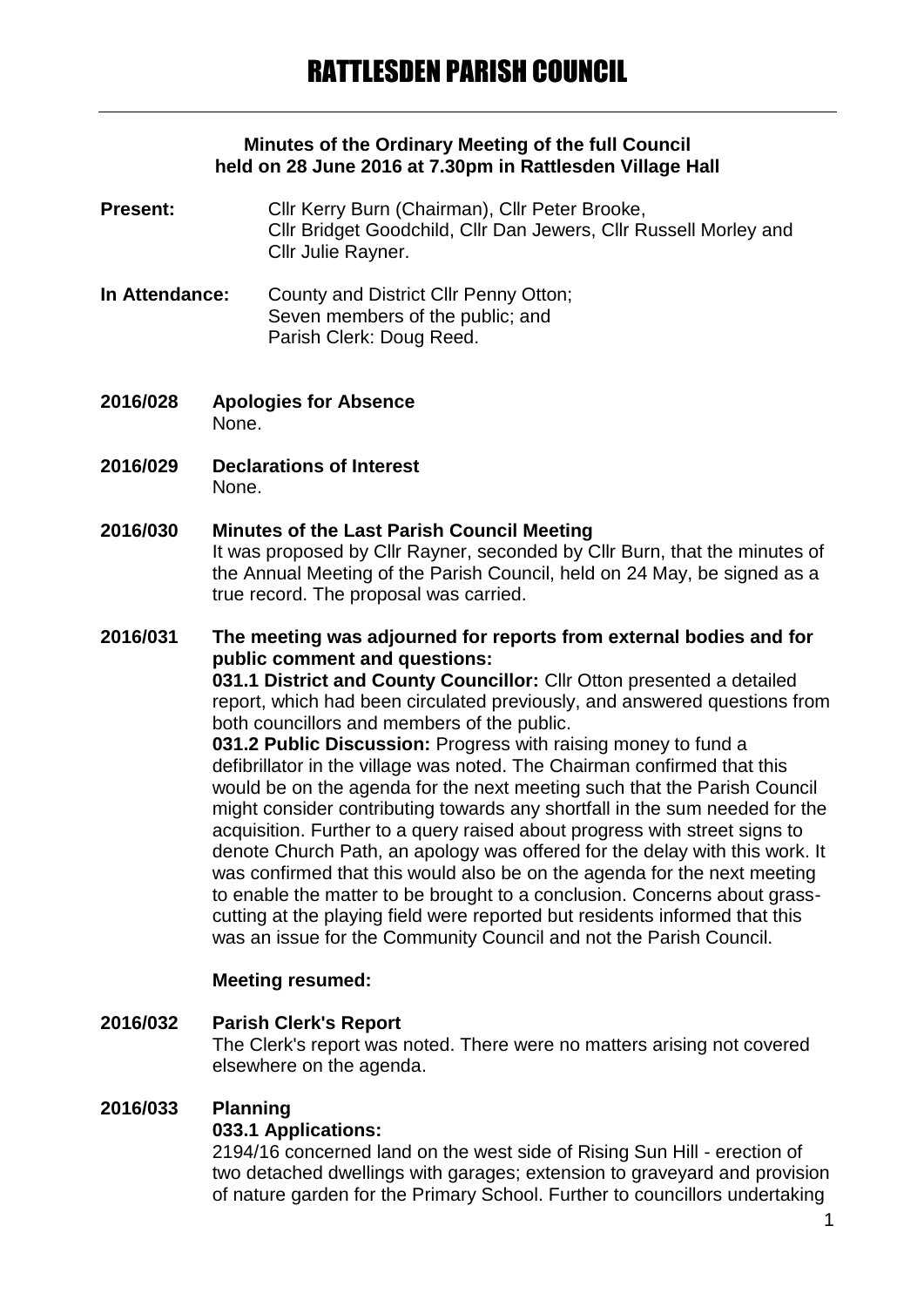### **Minutes of the Ordinary Meeting of the full Council held on 28 June 2016 at 7.30pm in Rattlesden Village Hall**

- **Present:** Cllr Kerry Burn (Chairman), Cllr Peter Brooke, Cllr Bridget Goodchild, Cllr Dan Jewers, Cllr Russell Morley and Cllr Julie Rayner.
- **In Attendance:** County and District Cllr Penny Otton; Seven members of the public; and Parish Clerk: Doug Reed.
- **2016/028 Apologies for Absence** None.
- **2016/029 Declarations of Interest** None.
- **2016/030 Minutes of the Last Parish Council Meeting** It was proposed by Cllr Rayner, seconded by Cllr Burn, that the minutes of the Annual Meeting of the Parish Council, held on 24 May, be signed as a true record. The proposal was carried.

**2016/031 The meeting was adjourned for reports from external bodies and for public comment and questions: 031.1 District and County Councillor:** Cllr Otton presented a detailed report, which had been circulated previously, and answered questions from both councillors and members of the public.

**031.2 Public Discussion:** Progress with raising money to fund a defibrillator in the village was noted. The Chairman confirmed that this would be on the agenda for the next meeting such that the Parish Council might consider contributing towards any shortfall in the sum needed for the acquisition. Further to a query raised about progress with street signs to denote Church Path, an apology was offered for the delay with this work. It was confirmed that this would also be on the agenda for the next meeting to enable the matter to be brought to a conclusion. Concerns about grasscutting at the playing field were reported but residents informed that this was an issue for the Community Council and not the Parish Council.

### **Meeting resumed:**

### **2016/032 Parish Clerk's Report**

The Clerk's report was noted. There were no matters arising not covered elsewhere on the agenda.

#### **2016/033 Planning**

#### **033.1 Applications:**

2194/16 concerned land on the west side of Rising Sun Hill - erection of two detached dwellings with garages; extension to graveyard and provision of nature garden for the Primary School. Further to councillors undertaking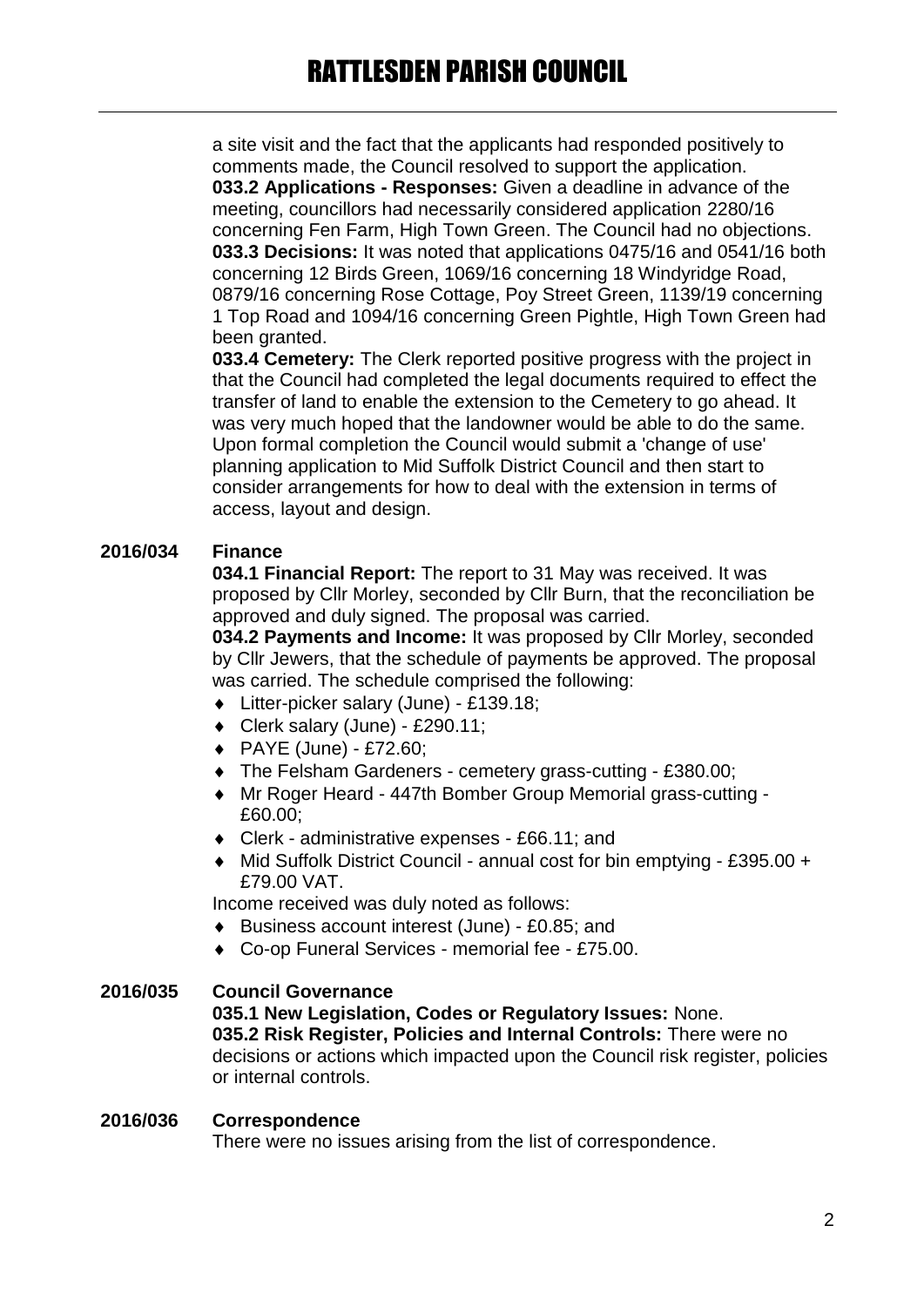a site visit and the fact that the applicants had responded positively to comments made, the Council resolved to support the application. **033.2 Applications - Responses:** Given a deadline in advance of the meeting, councillors had necessarily considered application 2280/16 concerning Fen Farm, High Town Green. The Council had no objections. **033.3 Decisions:** It was noted that applications 0475/16 and 0541/16 both concerning 12 Birds Green, 1069/16 concerning 18 Windyridge Road, 0879/16 concerning Rose Cottage, Poy Street Green, 1139/19 concerning 1 Top Road and 1094/16 concerning Green Pightle, High Town Green had been granted.

**033.4 Cemetery:** The Clerk reported positive progress with the project in that the Council had completed the legal documents required to effect the transfer of land to enable the extension to the Cemetery to go ahead. It was very much hoped that the landowner would be able to do the same. Upon formal completion the Council would submit a 'change of use' planning application to Mid Suffolk District Council and then start to consider arrangements for how to deal with the extension in terms of access, layout and design.

## **2016/034 Finance**

**034.1 Financial Report:** The report to 31 May was received. It was proposed by Cllr Morley, seconded by Cllr Burn, that the reconciliation be approved and duly signed. The proposal was carried.

**034.2 Payments and Income:** It was proposed by Cllr Morley, seconded by Cllr Jewers, that the schedule of payments be approved. The proposal was carried. The schedule comprised the following:

- Litter-picker salary (June) £139.18;
- Clerk salary (June) £290.11;
- PAYE (June) £72.60;
- The Felsham Gardeners cemetery grass-cutting £380.00;
- Mr Roger Heard 447th Bomber Group Memorial grass-cutting £60.00;
- Clerk administrative expenses £66.11; and
- ◆ Mid Suffolk District Council annual cost for bin emptying £395.00 + £79.00 VAT.

Income received was duly noted as follows:

- Business account interest (June) £0.85; and
- Co-op Funeral Services memorial fee £75.00.

### **2016/035 Council Governance**

### **035.1 New Legislation, Codes or Regulatory Issues:** None.

**035.2 Risk Register, Policies and Internal Controls:** There were no decisions or actions which impacted upon the Council risk register, policies or internal controls.

#### **2016/036 Correspondence**

There were no issues arising from the list of correspondence.